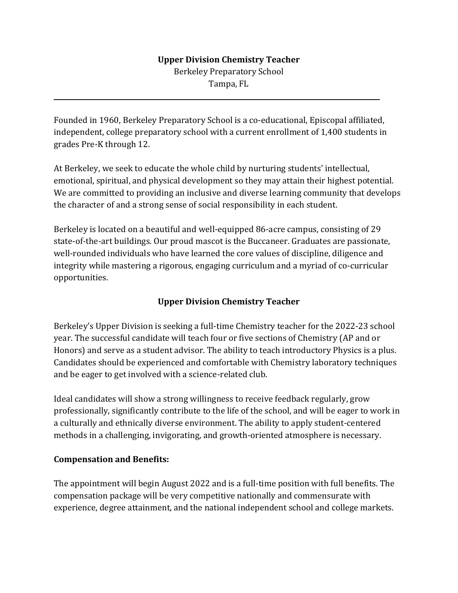## **Upper Division Chemistry Teacher**

Berkeley Preparatory School Tampa, FL

Founded in 1960, Berkeley Preparatory School is a co-educational, Episcopal affiliated, independent, college preparatory school with a current enrollment of 1,400 students in grades Pre-K through 12.

At Berkeley, we seek to educate the whole child by nurturing students' intellectual, emotional, spiritual, and physical development so they may attain their highest potential. We are committed to providing an inclusive and diverse learning community that develops the character of and a strong sense of social responsibility in each student.

Berkeley is located on a beautiful and well-equipped 86-acre campus, consisting of 29 state-of-the-art buildings. Our proud mascot is the Buccaneer. Graduates are passionate, well-rounded individuals who have learned the core values of discipline, diligence and integrity while mastering a rigorous, engaging curriculum and a myriad of co-curricular opportunities.

## **Upper Division Chemistry Teacher**

Berkeley's Upper Division is seeking a full-time Chemistry teacher for the 2022-23 school year. The successful candidate will teach four or five sections of Chemistry (AP and or Honors) and serve as a student advisor. The ability to teach introductory Physics is a plus. Candidates should be experienced and comfortable with Chemistry laboratory techniques and be eager to get involved with a science-related club.

Ideal candidates will show a strong willingness to receive feedback regularly, grow professionally, significantly contribute to the life of the school, and will be eager to work in a culturally and ethnically diverse environment. The ability to apply student-centered methods in a challenging, invigorating, and growth-oriented atmosphere is necessary.

## **Compensation and Benefits:**

 $\overline{a}$ 

The appointment will begin August 2022 and is a full-time position with full benefits. The compensation package will be very competitive nationally and commensurate with experience, degree attainment, and the national independent school and college markets.